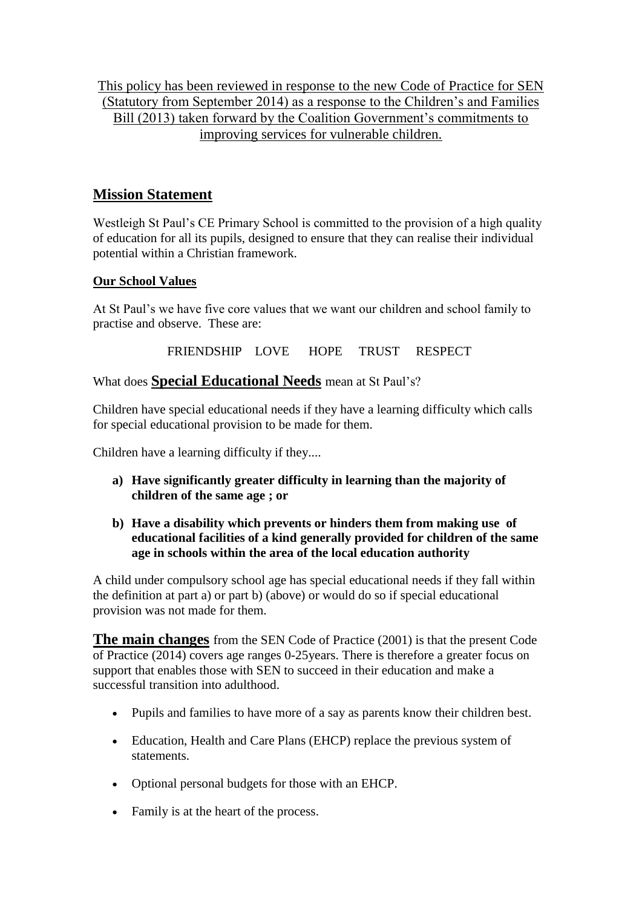This policy has been reviewed in response to the new Code of Practice for SEN (Statutory from September 2014) as a response to the Children's and Families Bill (2013) taken forward by the Coalition Government's commitments to improving services for vulnerable children.

# **Mission Statement**

Westleigh St Paul's CE Primary School is committed to the provision of a high quality of education for all its pupils, designed to ensure that they can realise their individual potential within a Christian framework.

## **Our School Values**

At St Paul's we have five core values that we want our children and school family to practise and observe. These are:

FRIENDSHIP LOVE HOPE TRUST RESPECT

What does **Special Educational Needs** mean at St Paul's?

Children have special educational needs if they have a learning difficulty which calls for special educational provision to be made for them.

Children have a learning difficulty if they....

- **a) Have significantly greater difficulty in learning than the majority of children of the same age ; or**
- **b) Have a disability which prevents or hinders them from making use of educational facilities of a kind generally provided for children of the same age in schools within the area of the local education authority**

A child under compulsory school age has special educational needs if they fall within the definition at part a) or part b) (above) or would do so if special educational provision was not made for them.

**The main changes** from the SEN Code of Practice (2001) is that the present Code of Practice (2014) covers age ranges 0-25years. There is therefore a greater focus on support that enables those with SEN to succeed in their education and make a successful transition into adulthood.

- Pupils and families to have more of a say as parents know their children best.
- Education, Health and Care Plans (EHCP) replace the previous system of statements.
- Optional personal budgets for those with an EHCP.
- Family is at the heart of the process.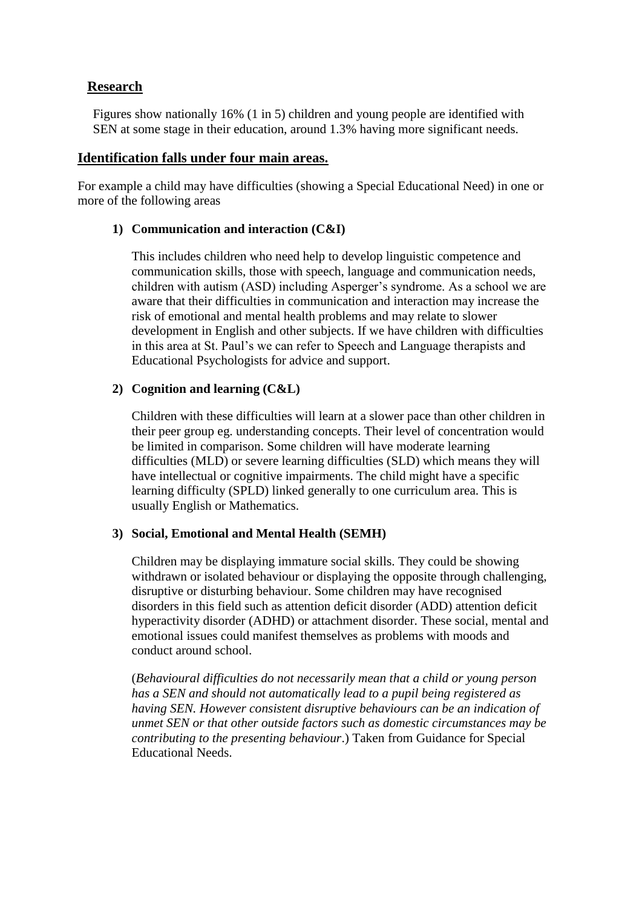#### **Research**

Figures show nationally 16% (1 in 5) children and young people are identified with SEN at some stage in their education, around 1.3% having more significant needs.

#### **Identification falls under four main areas.**

For example a child may have difficulties (showing a Special Educational Need) in one or more of the following areas

#### **1) Communication and interaction (C&I)**

This includes children who need help to develop linguistic competence and communication skills, those with speech, language and communication needs, children with autism (ASD) including Asperger's syndrome. As a school we are aware that their difficulties in communication and interaction may increase the risk of emotional and mental health problems and may relate to slower development in English and other subjects. If we have children with difficulties in this area at St. Paul's we can refer to Speech and Language therapists and Educational Psychologists for advice and support.

#### **2) Cognition and learning (C&L)**

Children with these difficulties will learn at a slower pace than other children in their peer group eg. understanding concepts. Their level of concentration would be limited in comparison. Some children will have moderate learning difficulties (MLD) or severe learning difficulties (SLD) which means they will have intellectual or cognitive impairments. The child might have a specific learning difficulty (SPLD) linked generally to one curriculum area. This is usually English or Mathematics.

#### **3) Social, Emotional and Mental Health (SEMH)**

Children may be displaying immature social skills. They could be showing withdrawn or isolated behaviour or displaying the opposite through challenging, disruptive or disturbing behaviour. Some children may have recognised disorders in this field such as attention deficit disorder (ADD) attention deficit hyperactivity disorder (ADHD) or attachment disorder. These social, mental and emotional issues could manifest themselves as problems with moods and conduct around school.

(*Behavioural difficulties do not necessarily mean that a child or young person has a SEN and should not automatically lead to a pupil being registered as having SEN. However consistent disruptive behaviours can be an indication of unmet SEN or that other outside factors such as domestic circumstances may be contributing to the presenting behaviour*.) Taken from Guidance for Special Educational Needs.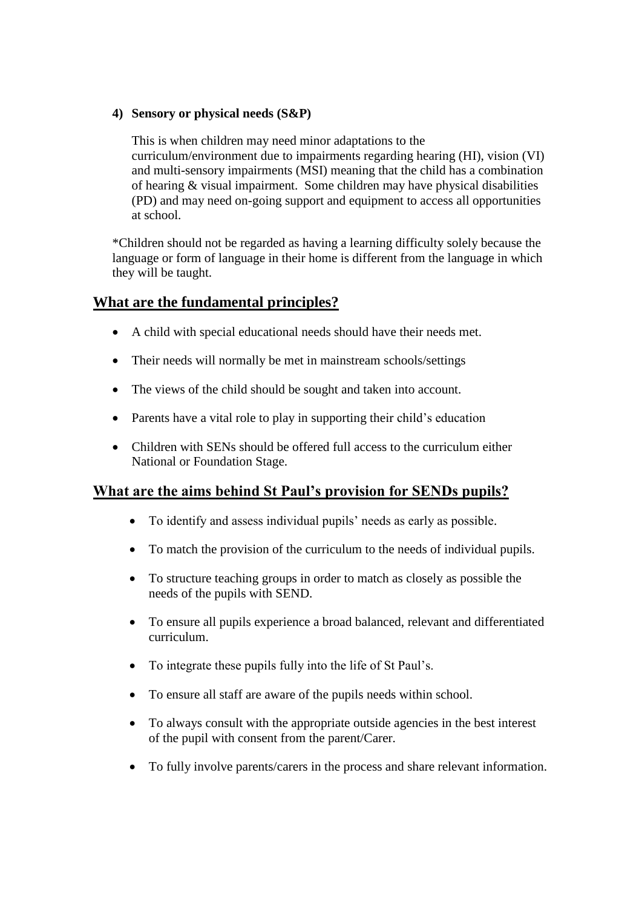#### **4) Sensory or physical needs (S&P)**

This is when children may need minor adaptations to the curriculum/environment due to impairments regarding hearing (HI), vision (VI) and multi-sensory impairments (MSI) meaning that the child has a combination of hearing & visual impairment. Some children may have physical disabilities (PD) and may need on-going support and equipment to access all opportunities at school.

\*Children should not be regarded as having a learning difficulty solely because the language or form of language in their home is different from the language in which they will be taught.

## **What are the fundamental principles?**

- A child with special educational needs should have their needs met.
- Their needs will normally be met in mainstream schools/settings
- The views of the child should be sought and taken into account.
- Parents have a vital role to play in supporting their child's education
- Children with SENs should be offered full access to the curriculum either National or Foundation Stage.

# **What are the aims behind St Paul's provision for SENDs pupils?**

- To identify and assess individual pupils' needs as early as possible.
- To match the provision of the curriculum to the needs of individual pupils.
- To structure teaching groups in order to match as closely as possible the needs of the pupils with SEND.
- To ensure all pupils experience a broad balanced, relevant and differentiated curriculum.
- To integrate these pupils fully into the life of St Paul's.
- To ensure all staff are aware of the pupils needs within school.
- To always consult with the appropriate outside agencies in the best interest of the pupil with consent from the parent/Carer.
- To fully involve parents/carers in the process and share relevant information.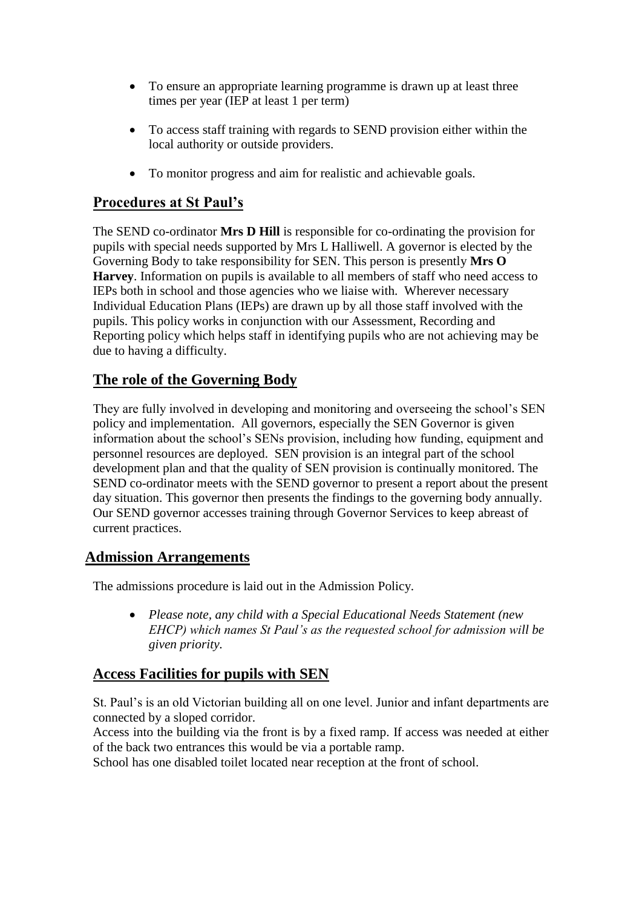- To ensure an appropriate learning programme is drawn up at least three times per year (IEP at least 1 per term)
- To access staff training with regards to SEND provision either within the local authority or outside providers.
- To monitor progress and aim for realistic and achievable goals.

# **Procedures at St Paul's**

The SEND co-ordinator **Mrs D Hill** is responsible for co-ordinating the provision for pupils with special needs supported by Mrs L Halliwell. A governor is elected by the Governing Body to take responsibility for SEN. This person is presently **Mrs O Harvey**. Information on pupils is available to all members of staff who need access to IEPs both in school and those agencies who we liaise with. Wherever necessary Individual Education Plans (IEPs) are drawn up by all those staff involved with the pupils. This policy works in conjunction with our Assessment, Recording and Reporting policy which helps staff in identifying pupils who are not achieving may be due to having a difficulty.

# **The role of the Governing Body**

They are fully involved in developing and monitoring and overseeing the school's SEN policy and implementation. All governors, especially the SEN Governor is given information about the school's SENs provision, including how funding, equipment and personnel resources are deployed. SEN provision is an integral part of the school development plan and that the quality of SEN provision is continually monitored. The SEND co-ordinator meets with the SEND governor to present a report about the present day situation. This governor then presents the findings to the governing body annually. Our SEND governor accesses training through Governor Services to keep abreast of current practices.

# **Admission Arrangements**

The admissions procedure is laid out in the Admission Policy.

 *Please note, any child with a Special Educational Needs Statement (new EHCP) which names St Paul's as the requested school for admission will be given priority.*

# **Access Facilities for pupils with SEN**

St. Paul's is an old Victorian building all on one level. Junior and infant departments are connected by a sloped corridor.

Access into the building via the front is by a fixed ramp. If access was needed at either of the back two entrances this would be via a portable ramp.

School has one disabled toilet located near reception at the front of school.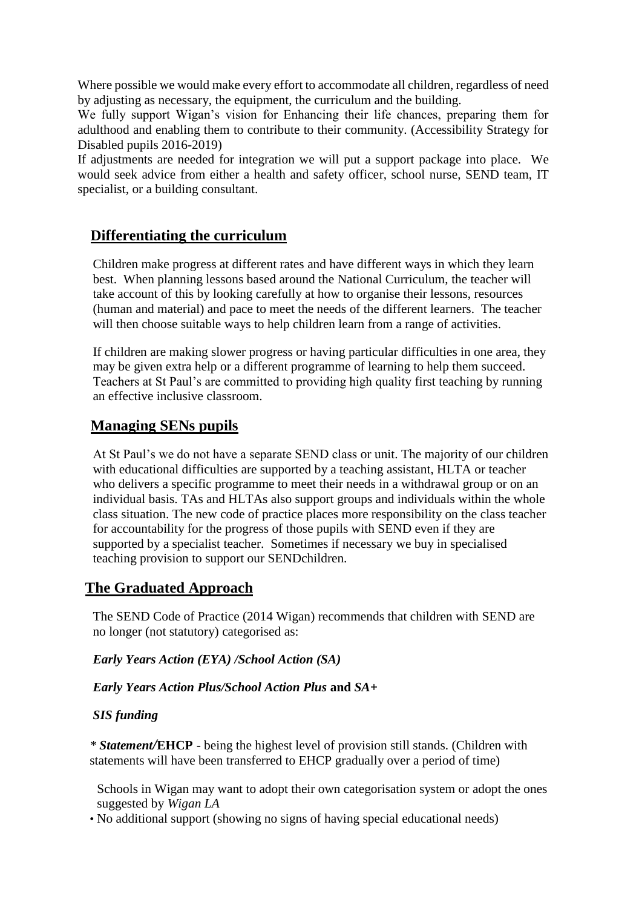Where possible we would make every effort to accommodate all children, regardless of need by adjusting as necessary, the equipment, the curriculum and the building.

We fully support Wigan's vision for Enhancing their life chances, preparing them for adulthood and enabling them to contribute to their community. (Accessibility Strategy for Disabled pupils 2016-2019)

If adjustments are needed for integration we will put a support package into place. We would seek advice from either a health and safety officer, school nurse, SEND team, IT specialist, or a building consultant.

# **Differentiating the curriculum**

Children make progress at different rates and have different ways in which they learn best. When planning lessons based around the National Curriculum, the teacher will take account of this by looking carefully at how to organise their lessons, resources (human and material) and pace to meet the needs of the different learners. The teacher will then choose suitable ways to help children learn from a range of activities.

If children are making slower progress or having particular difficulties in one area, they may be given extra help or a different programme of learning to help them succeed. Teachers at St Paul's are committed to providing high quality first teaching by running an effective inclusive classroom.

## **Managing SENs pupils**

At St Paul's we do not have a separate SEND class or unit. The majority of our children with educational difficulties are supported by a teaching assistant, HLTA or teacher who delivers a specific programme to meet their needs in a withdrawal group or on an individual basis. TAs and HLTAs also support groups and individuals within the whole class situation. The new code of practice places more responsibility on the class teacher for accountability for the progress of those pupils with SEND even if they are supported by a specialist teacher. Sometimes if necessary we buy in specialised teaching provision to support our SENDchildren.

# **The Graduated Approach**

The SEND Code of Practice (2014 Wigan) recommends that children with SEND are no longer (not statutory) categorised as:

*Early Years Action (EYA) /School Action (SA)*

*Early Years Action Plus/School Action Plus* **and** *SA+* 

#### *SIS funding*

*\* Statement/***EHCP** - being the highest level of provision still stands. (Children with statements will have been transferred to EHCP gradually over a period of time)

Schools in Wigan may want to adopt their own categorisation system or adopt the ones suggested by *Wigan LA*

• No additional support (showing no signs of having special educational needs)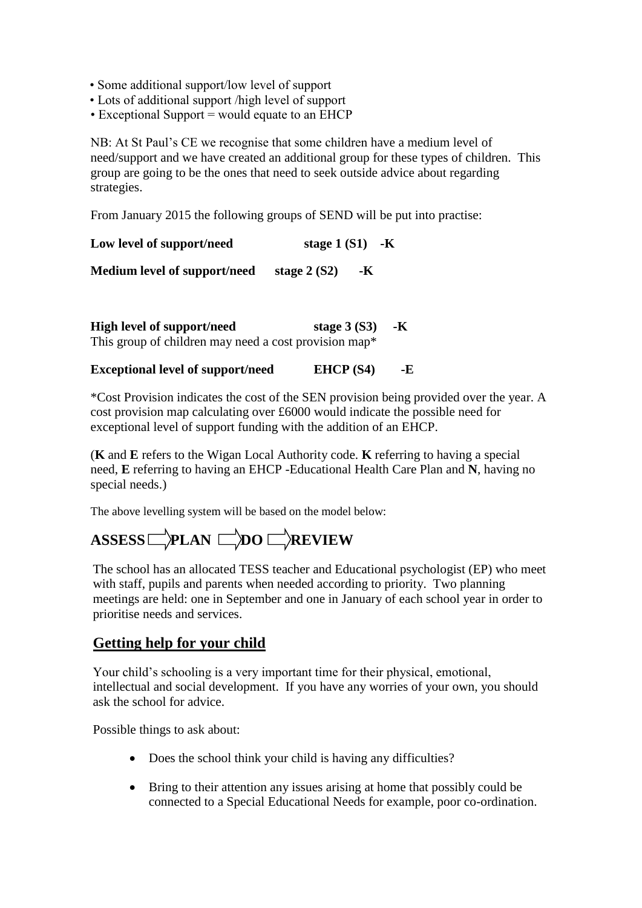- Some additional support/low level of support
- Lots of additional support /high level of support
- $\bullet$  Exceptional Support = would equate to an EHCP

NB: At St Paul's CE we recognise that some children have a medium level of need/support and we have created an additional group for these types of children. This group are going to be the ones that need to seek outside advice about regarding strategies.

From January 2015 the following groups of SEND will be put into practise:

| Low level of support/need    | stage 1 $(S1)$ -K     |  |
|------------------------------|-----------------------|--|
| Medium level of support/need | stage $2(S2)$<br>$-K$ |  |

| <b>High level of support/need</b>                     | stage $3(S3)$ -K |  |
|-------------------------------------------------------|------------------|--|
| This group of children may need a cost provision map* |                  |  |

#### **Exceptional level of support/need EHCP (S4) -E**

\*Cost Provision indicates the cost of the SEN provision being provided over the year. A cost provision map calculating over £6000 would indicate the possible need for exceptional level of support funding with the addition of an EHCP.

(**K** and **E** refers to the Wigan Local Authority code. **K** referring to having a special need, **E** referring to having an EHCP -Educational Health Care Plan and **N**, having no special needs.)

The above levelling system will be based on the model below:

# ASSESS **PLAN DO REVIEW**

The school has an allocated TESS teacher and Educational psychologist (EP) who meet with staff, pupils and parents when needed according to priority. Two planning meetings are held: one in September and one in January of each school year in order to prioritise needs and services.

## **Getting help for your child**

Your child's schooling is a very important time for their physical, emotional, intellectual and social development. If you have any worries of your own, you should ask the school for advice.

Possible things to ask about:

- Does the school think your child is having any difficulties?
- Bring to their attention any issues arising at home that possibly could be connected to a Special Educational Needs for example, poor co-ordination.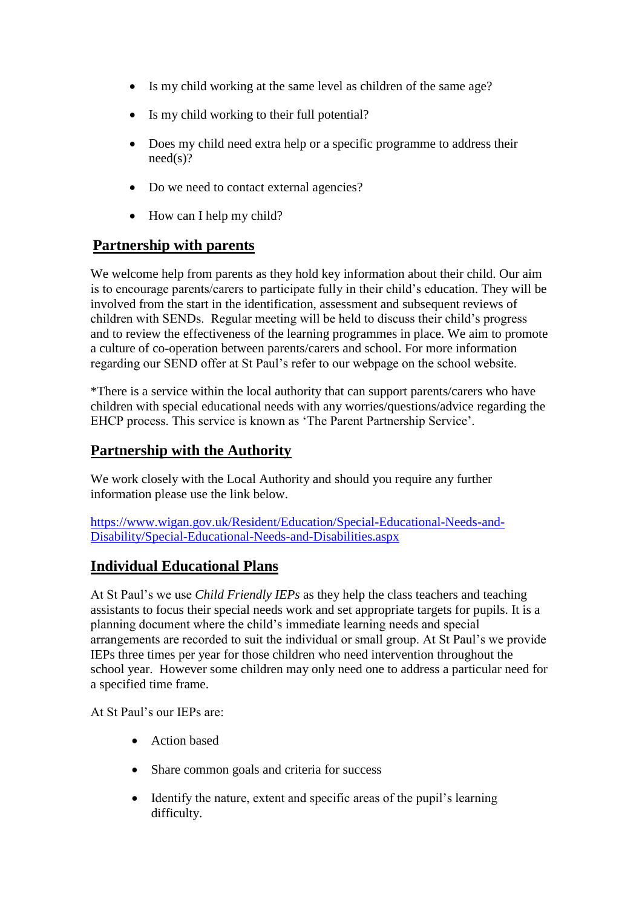- Is my child working at the same level as children of the same age?
- Is my child working to their full potential?
- Does my child need extra help or a specific programme to address their need(s)?
- Do we need to contact external agencies?
- How can I help my child?

## **Partnership with parents**

We welcome help from parents as they hold key information about their child. Our aim is to encourage parents/carers to participate fully in their child's education. They will be involved from the start in the identification, assessment and subsequent reviews of children with SENDs. Regular meeting will be held to discuss their child's progress and to review the effectiveness of the learning programmes in place. We aim to promote a culture of co-operation between parents/carers and school. For more information regarding our SEND offer at St Paul's refer to our webpage on the school website.

\*There is a service within the local authority that can support parents/carers who have children with special educational needs with any worries/questions/advice regarding the EHCP process. This service is known as 'The Parent Partnership Service'.

# **Partnership with the Authority**

We work closely with the Local Authority and should you require any further information please use the link below.

[https://www.wigan.gov.uk/Resident/Education/Special-Educational-Needs-and-](https://www.wigan.gov.uk/Resident/Education/Special-Educational-Needs-and-Disability/Special-Educational-Needs-and-Disabilities.aspx)[Disability/Special-Educational-Needs-and-Disabilities.aspx](https://www.wigan.gov.uk/Resident/Education/Special-Educational-Needs-and-Disability/Special-Educational-Needs-and-Disabilities.aspx)

# **Individual Educational Plans**

At St Paul's we use *Child Friendly IEPs* as they help the class teachers and teaching assistants to focus their special needs work and set appropriate targets for pupils. It is a planning document where the child's immediate learning needs and special arrangements are recorded to suit the individual or small group. At St Paul's we provide IEPs three times per year for those children who need intervention throughout the school year. However some children may only need one to address a particular need for a specified time frame.

At St Paul's our IEPs are:

- Action based
- Share common goals and criteria for success
- Identify the nature, extent and specific areas of the pupil's learning difficulty.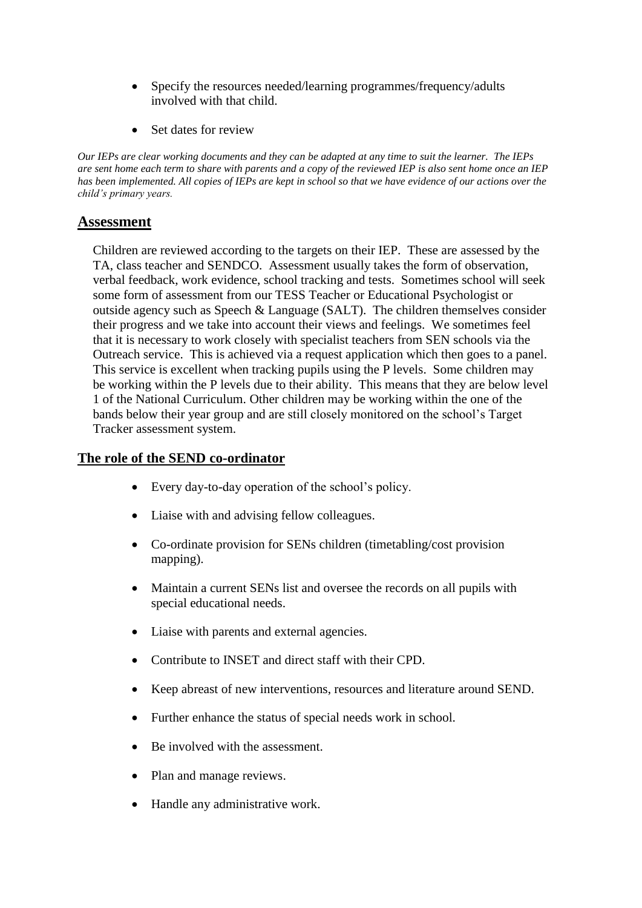- Specify the resources needed/learning programmes/frequency/adults involved with that child.
- Set dates for review

*Our IEPs are clear working documents and they can be adapted at any time to suit the learner. The IEPs are sent home each term to share with parents and a copy of the reviewed IEP is also sent home once an IEP has been implemented. All copies of IEPs are kept in school so that we have evidence of our actions over the child's primary years.*

## **Assessment**

Children are reviewed according to the targets on their IEP. These are assessed by the TA, class teacher and SENDCO. Assessment usually takes the form of observation, verbal feedback, work evidence, school tracking and tests. Sometimes school will seek some form of assessment from our TESS Teacher or Educational Psychologist or outside agency such as Speech & Language (SALT). The children themselves consider their progress and we take into account their views and feelings. We sometimes feel that it is necessary to work closely with specialist teachers from SEN schools via the Outreach service. This is achieved via a request application which then goes to a panel. This service is excellent when tracking pupils using the P levels. Some children may be working within the P levels due to their ability. This means that they are below level 1 of the National Curriculum. Other children may be working within the one of the bands below their year group and are still closely monitored on the school's Target Tracker assessment system.

#### **The role of the SEND co-ordinator**

- Every day-to-day operation of the school's policy.
- Liaise with and advising fellow colleagues.
- Co-ordinate provision for SENs children (timetabling/cost provision mapping).
- Maintain a current SENs list and oversee the records on all pupils with special educational needs.
- Liaise with parents and external agencies.
- Contribute to INSET and direct staff with their CPD.
- Keep abreast of new interventions, resources and literature around SEND.
- Further enhance the status of special needs work in school.
- Be involved with the assessment.
- Plan and manage reviews.
- Handle any administrative work.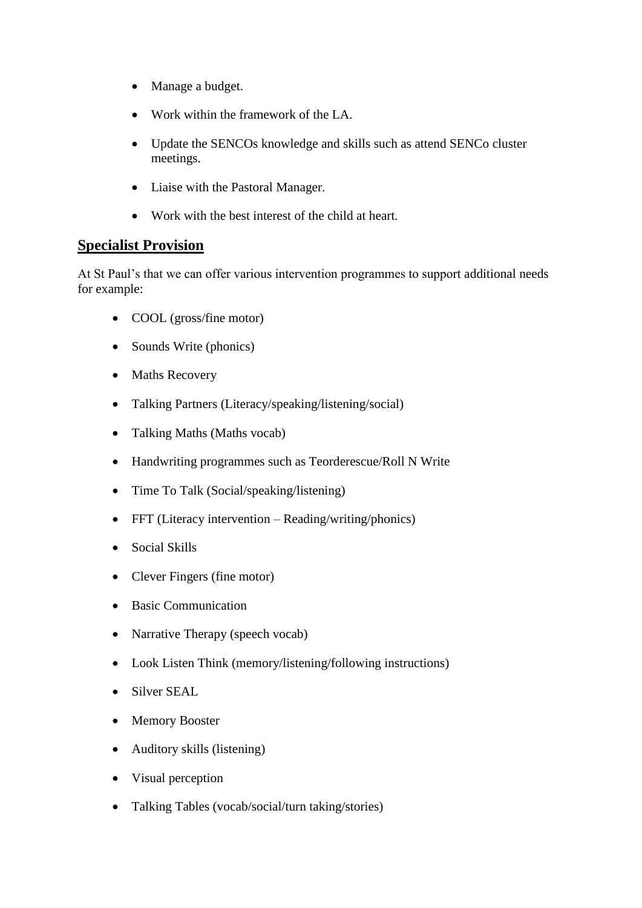- Manage a budget.
- Work within the framework of the LA.
- Update the SENCOs knowledge and skills such as attend SENCo cluster meetings.
- Liaise with the Pastoral Manager.
- Work with the best interest of the child at heart.

## **Specialist Provision**

At St Paul's that we can offer various intervention programmes to support additional needs for example:

- COOL (gross/fine motor)
- Sounds Write (phonics)
- Maths Recovery
- Talking Partners (Literacy/speaking/listening/social)
- Talking Maths (Maths vocab)
- Handwriting programmes such as Teorderescue/Roll N Write
- Time To Talk (Social/speaking/listening)
- FFT (Literacy intervention Reading/writing/phonics)
- Social Skills
- Clever Fingers (fine motor)
- Basic Communication
- Narrative Therapy (speech vocab)
- Look Listen Think (memory/listening/following instructions)
- Silver SEAL
- Memory Booster
- Auditory skills (listening)
- Visual perception
- Talking Tables (vocab/social/turn taking/stories)